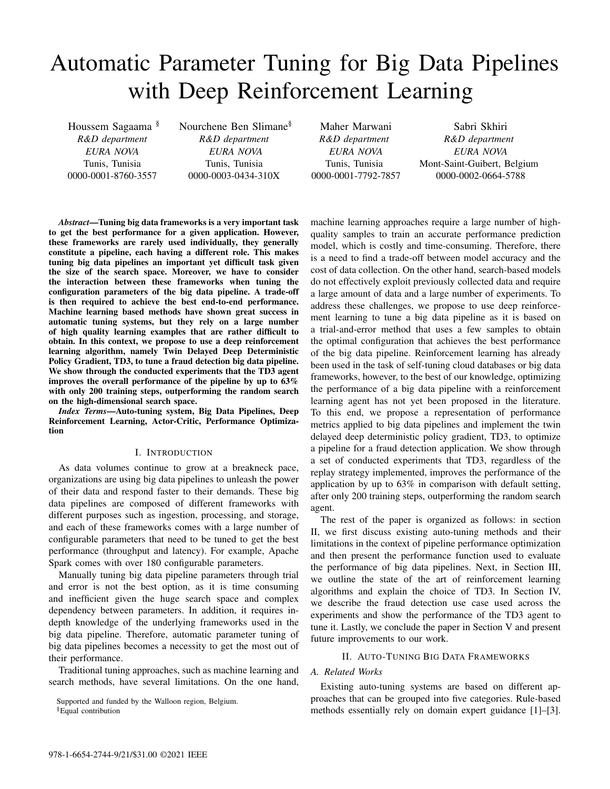# Automatic Parameter Tuning for Big Data Pipelines with Deep Reinforcement Learning

Houssem Sagaama § *R&D department EURA NOVA* Tunis, Tunisia 0000-0001-8760-3557

Nourchene Ben Slimane§ *R&D department EURA NOVA* Tunis, Tunisia 0000-0003-0434-310X

Maher Marwani *R&D department EURA NOVA* Tunis, Tunisia 0000-0001-7792-7857

Sabri Skhiri *R&D department EURA NOVA* Mont-Saint-Guibert, Belgium 0000-0002-0664-5788

*Abstract*—Tuning big data frameworks is a very important task to get the best performance for a given application. However, these frameworks are rarely used individually, they generally constitute a pipeline, each having a different role. This makes tuning big data pipelines an important yet difficult task given the size of the search space. Moreover, we have to consider the interaction between these frameworks when tuning the configuration parameters of the big data pipeline. A trade-off is then required to achieve the best end-to-end performance. Machine learning based methods have shown great success in automatic tuning systems, but they rely on a large number of high quality learning examples that are rather difficult to obtain. In this context, we propose to use a deep reinforcement learning algorithm, namely Twin Delayed Deep Deterministic Policy Gradient, TD3, to tune a fraud detection big data pipeline. We show through the conducted experiments that the TD3 agent improves the overall performance of the pipeline by up to 63% with only 200 training steps, outperforming the random search on the high-dimensional search space.

*Index Terms*—Auto-tuning system, Big Data Pipelines, Deep Reinforcement Learning, Actor-Critic, Performance Optimization

#### I. INTRODUCTION

As data volumes continue to grow at a breakneck pace, organizations are using big data pipelines to unleash the power of their data and respond faster to their demands. These big data pipelines are composed of different frameworks with different purposes such as ingestion, processing, and storage, and each of these frameworks comes with a large number of configurable parameters that need to be tuned to get the best performance (throughput and latency). For example, Apache Spark comes with over 180 configurable parameters.

Manually tuning big data pipeline parameters through trial and error is not the best option, as it is time consuming and inefficient given the huge search space and complex dependency between parameters. In addition, it requires indepth knowledge of the underlying frameworks used in the big data pipeline. Therefore, automatic parameter tuning of big data pipelines becomes a necessity to get the most out of their performance.

Traditional tuning approaches, such as machine learning and search methods, have several limitations. On the one hand,

Supported and funded by the Walloon region, Belgium.

§Equal contribution

machine learning approaches require a large number of highquality samples to train an accurate performance prediction model, which is costly and time-consuming. Therefore, there is a need to find a trade-off between model accuracy and the cost of data collection. On the other hand, search-based models do not effectively exploit previously collected data and require a large amount of data and a large number of experiments. To address these challenges, we propose to use deep reinforcement learning to tune a big data pipeline as it is based on a trial-and-error method that uses a few samples to obtain the optimal configuration that achieves the best performance of the big data pipeline. Reinforcement learning has already been used in the task of self-tuning cloud databases or big data frameworks, however, to the best of our knowledge, optimizing the performance of a big data pipeline with a reinforcement learning agent has not yet been proposed in the literature. To this end, we propose a representation of performance metrics applied to big data pipelines and implement the twin delayed deep deterministic policy gradient, TD3, to optimize a pipeline for a fraud detection application. We show through a set of conducted experiments that TD3, regardless of the replay strategy implemented, improves the performance of the application by up to 63% in comparison with default setting, after only 200 training steps, outperforming the random search agent.

The rest of the paper is organized as follows: in section II, we first discuss existing auto-tuning methods and their limitations in the context of pipeline performance optimization and then present the performance function used to evaluate the performance of big data pipelines. Next, in Section III, we outline the state of the art of reinforcement learning algorithms and explain the choice of TD3. In Section IV, we describe the fraud detection use case used across the experiments and show the performance of the TD3 agent to tune it. Lastly, we conclude the paper in Section V and present future improvements to our work.

#### II. AUTO-TUNING BIG DATA FRAMEWORKS

# *A. Related Works*

Existing auto-tuning systems are based on different approaches that can be grouped into five categories. Rule-based methods essentially rely on domain expert guidance [1]–[3].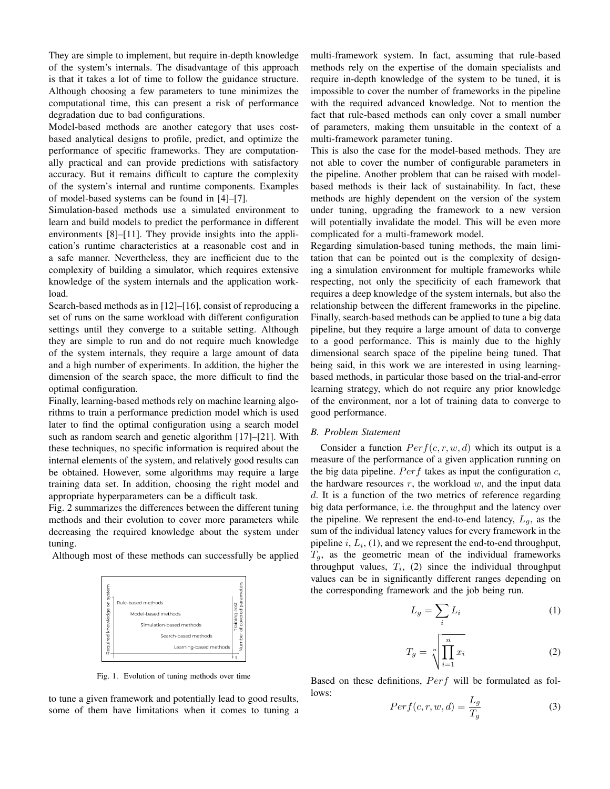They are simple to implement, but require in-depth knowledge of the system's internals. The disadvantage of this approach is that it takes a lot of time to follow the guidance structure. Although choosing a few parameters to tune minimizes the computational time, this can present a risk of performance degradation due to bad configurations.

Model-based methods are another category that uses costbased analytical designs to profile, predict, and optimize the performance of specific frameworks. They are computationally practical and can provide predictions with satisfactory accuracy. But it remains difficult to capture the complexity of the system's internal and runtime components. Examples of model-based systems can be found in [4]–[7].

Simulation-based methods use a simulated environment to learn and build models to predict the performance in different environments [8]–[11]. They provide insights into the application's runtime characteristics at a reasonable cost and in a safe manner. Nevertheless, they are inefficient due to the complexity of building a simulator, which requires extensive knowledge of the system internals and the application workload.

Search-based methods as in [12]–[16], consist of reproducing a set of runs on the same workload with different configuration settings until they converge to a suitable setting. Although they are simple to run and do not require much knowledge of the system internals, they require a large amount of data and a high number of experiments. In addition, the higher the dimension of the search space, the more difficult to find the optimal configuration.

Finally, learning-based methods rely on machine learning algorithms to train a performance prediction model which is used later to find the optimal configuration using a search model such as random search and genetic algorithm [17]–[21]. With these techniques, no specific information is required about the internal elements of the system, and relatively good results can be obtained. However, some algorithms may require a large training data set. In addition, choosing the right model and appropriate hyperparameters can be a difficult task.

Fig. 2 summarizes the differences between the different tuning methods and their evolution to cover more parameters while decreasing the required knowledge about the system under tuning.

Although most of these methods can successfully be applied



Fig. 1. Evolution of tuning methods over time

to tune a given framework and potentially lead to good results, some of them have limitations when it comes to tuning a multi-framework system. In fact, assuming that rule-based methods rely on the expertise of the domain specialists and require in-depth knowledge of the system to be tuned, it is impossible to cover the number of frameworks in the pipeline with the required advanced knowledge. Not to mention the fact that rule-based methods can only cover a small number of parameters, making them unsuitable in the context of a multi-framework parameter tuning.

This is also the case for the model-based methods. They are not able to cover the number of configurable parameters in the pipeline. Another problem that can be raised with modelbased methods is their lack of sustainability. In fact, these methods are highly dependent on the version of the system under tuning, upgrading the framework to a new version will potentially invalidate the model. This will be even more complicated for a multi-framework model.

Regarding simulation-based tuning methods, the main limitation that can be pointed out is the complexity of designing a simulation environment for multiple frameworks while respecting, not only the specificity of each framework that requires a deep knowledge of the system internals, but also the relationship between the different frameworks in the pipeline. Finally, search-based methods can be applied to tune a big data pipeline, but they require a large amount of data to converge to a good performance. This is mainly due to the highly dimensional search space of the pipeline being tuned. That being said, in this work we are interested in using learningbased methods, in particular those based on the trial-and-error learning strategy, which do not require any prior knowledge of the environment, nor a lot of training data to converge to good performance.

# *B. Problem Statement*

Consider a function  $Perf(c, r, w, d)$  which its output is a measure of the performance of a given application running on the big data pipeline.  $Perf$  takes as input the configuration  $c$ , the hardware resources  $r$ , the workload  $w$ , and the input data d. It is a function of the two metrics of reference regarding big data performance, i.e. the throughput and the latency over the pipeline. We represent the end-to-end latency,  $L_q$ , as the sum of the individual latency values for every framework in the pipeline  $i, L_i, (1)$ , and we represent the end-to-end throughput,  $T<sub>g</sub>$ , as the geometric mean of the individual frameworks throughput values,  $T_i$ , (2) since the individual throughput values can be in significantly different ranges depending on the corresponding framework and the job being run.

$$
L_g = \sum_i L_i \tag{1}
$$

$$
T_g = \sqrt[n]{\prod_{i=1}^n x_i}
$$
 (2)

Based on these definitions,  $Perf$  will be formulated as follows:

$$
Perf(c, r, w, d) = \frac{L_g}{T_g} \tag{3}
$$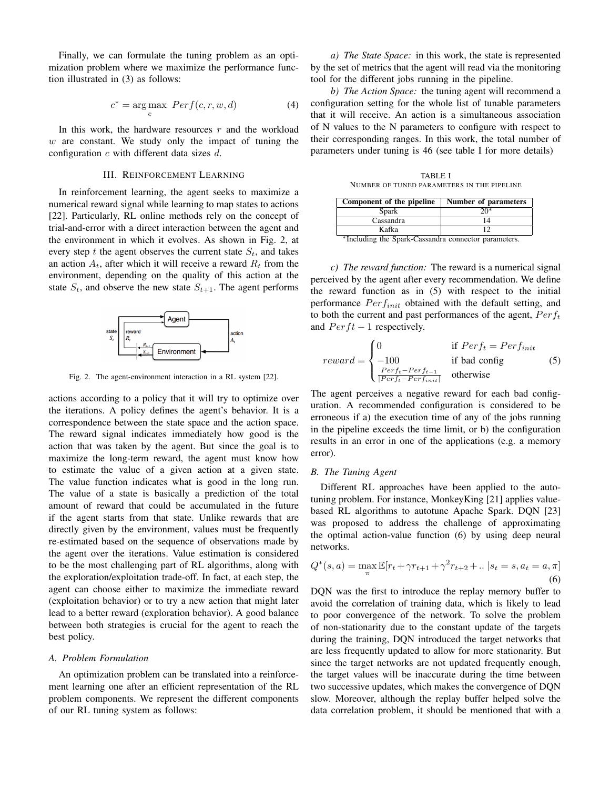Finally, we can formulate the tuning problem as an optimization problem where we maximize the performance function illustrated in (3) as follows:

$$
c^* = \underset{c}{\text{arg max}} \, Perf(c, r, w, d) \tag{4}
$$

In this work, the hardware resources  $r$  and the workload  $w$  are constant. We study only the impact of tuning the configuration  $c$  with different data sizes  $d$ .

#### III. REINFORCEMENT LEARNING

In reinforcement learning, the agent seeks to maximize a numerical reward signal while learning to map states to actions [22]. Particularly, RL online methods rely on the concept of trial-and-error with a direct interaction between the agent and the environment in which it evolves. As shown in Fig. 2, at every step t the agent observes the current state  $S_t$ , and takes an action  $A_t$ , after which it will receive a reward  $R_t$  from the environment, depending on the quality of this action at the state  $S_t$ , and observe the new state  $S_{t+1}$ . The agent performs



Fig. 2. The agent-environment interaction in a RL system [22].

actions according to a policy that it will try to optimize over the iterations. A policy defines the agent's behavior. It is a correspondence between the state space and the action space. The reward signal indicates immediately how good is the action that was taken by the agent. But since the goal is to maximize the long-term reward, the agent must know how to estimate the value of a given action at a given state. The value function indicates what is good in the long run. The value of a state is basically a prediction of the total amount of reward that could be accumulated in the future if the agent starts from that state. Unlike rewards that are directly given by the environment, values must be frequently re-estimated based on the sequence of observations made by the agent over the iterations. Value estimation is considered to be the most challenging part of RL algorithms, along with the exploration/exploitation trade-off. In fact, at each step, the agent can choose either to maximize the immediate reward (exploitation behavior) or to try a new action that might later lead to a better reward (exploration behavior). A good balance between both strategies is crucial for the agent to reach the best policy.

#### *A. Problem Formulation*

An optimization problem can be translated into a reinforcement learning one after an efficient representation of the RL problem components. We represent the different components of our RL tuning system as follows:

*a) The State Space:* in this work, the state is represented by the set of metrics that the agent will read via the monitoring tool for the different jobs running in the pipeline.

*b) The Action Space:* the tuning agent will recommend a configuration setting for the whole list of tunable parameters that it will receive. An action is a simultaneous association of N values to the N parameters to configure with respect to their corresponding ranges. In this work, the total number of parameters under tuning is 46 (see table I for more details)

TABLE I NUMBER OF TUNED PARAMETERS IN THE PIPELINE

| Component of the pipeline                           | Number of parameters |  |  |  |
|-----------------------------------------------------|----------------------|--|--|--|
| Spark                                               | $20*$                |  |  |  |
| Cassandra                                           |                      |  |  |  |
| Kafka                                               |                      |  |  |  |
| *Including the Spark-Cassandra connector parameters |                      |  |  |  |

<sup>∗</sup>Including the Spark-Cassandra connector parameters.

*c) The reward function:* The reward is a numerical signal perceived by the agent after every recommendation. We define the reward function as in (5) with respect to the initial performance  $Perf_{init}$  obtained with the default setting, and to both the current and past performances of the agent,  $Perf_t$ and  $Perft - 1$  respectively.

$$
reward = \begin{cases} 0 & \text{if } Perf_t = Perf_{init} \\ -100 & \text{if bad config} \\ \frac{Perf_t - Perf_{t-1}}{|Perf_t - Perf_{init}|} & \text{otherwise} \end{cases}
$$
(5)

The agent perceives a negative reward for each bad configuration. A recommended configuration is considered to be erroneous if a) the execution time of any of the jobs running in the pipeline exceeds the time limit, or b) the configuration results in an error in one of the applications (e.g. a memory error).

#### *B. The Tuning Agent*

Different RL approaches have been applied to the autotuning problem. For instance, MonkeyKing [21] applies valuebased RL algorithms to autotune Apache Spark. DQN [23] was proposed to address the challenge of approximating the optimal action-value function (6) by using deep neural networks.

$$
Q^*(s, a) = \max_{\pi} \mathbb{E}[r_t + \gamma r_{t+1} + \gamma^2 r_{t+2} + \dots | s_t = s, a_t = a, \pi]
$$
\n(6)

DQN was the first to introduce the replay memory buffer to avoid the correlation of training data, which is likely to lead to poor convergence of the network. To solve the problem of non-stationarity due to the constant update of the targets during the training, DQN introduced the target networks that are less frequently updated to allow for more stationarity. But since the target networks are not updated frequently enough, the target values will be inaccurate during the time between two successive updates, which makes the convergence of DQN slow. Moreover, although the replay buffer helped solve the data correlation problem, it should be mentioned that with a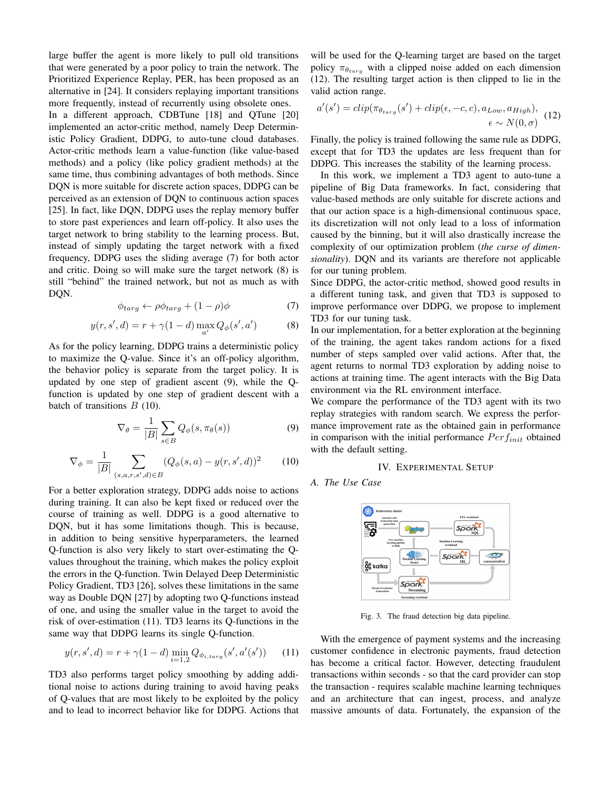large buffer the agent is more likely to pull old transitions that were generated by a poor policy to train the network. The Prioritized Experience Replay, PER, has been proposed as an alternative in [24]. It considers replaying important transitions more frequently, instead of recurrently using obsolete ones.

In a different approach, CDBTune [18] and QTune [20] implemented an actor-critic method, namely Deep Deterministic Policy Gradient, DDPG, to auto-tune cloud databases. Actor-critic methods learn a value-function (like value-based methods) and a policy (like policy gradient methods) at the same time, thus combining advantages of both methods. Since DQN is more suitable for discrete action spaces, DDPG can be perceived as an extension of DQN to continuous action spaces [25]. In fact, like DQN, DDPG uses the replay memory buffer to store past experiences and learn off-policy. It also uses the target network to bring stability to the learning process. But, instead of simply updating the target network with a fixed frequency, DDPG uses the sliding average (7) for both actor and critic. Doing so will make sure the target network (8) is still "behind" the trained network, but not as much as with DQN.

$$
\phi_{targ} \leftarrow \rho \phi_{targ} + (1 - \rho)\phi \tag{7}
$$

$$
y(r, s', d) = r + \gamma (1 - d) \max_{a'} Q_{\phi}(s', a')
$$
 (8)

As for the policy learning, DDPG trains a deterministic policy to maximize the Q-value. Since it's an off-policy algorithm, the behavior policy is separate from the target policy. It is updated by one step of gradient ascent (9), while the Qfunction is updated by one step of gradient descent with a batch of transitions  $B(10)$ .

$$
\nabla_{\theta} = \frac{1}{|B|} \sum_{s \in B} Q_{\phi}(s, \pi_{\theta}(s))
$$
\n(9)

$$
\nabla_{\phi} = \frac{1}{|B|} \sum_{(s,a,r,s',d) \in B} (Q_{\phi}(s,a) - y(r,s',d))^2 \tag{10}
$$

For a better exploration strategy, DDPG adds noise to actions during training. It can also be kept fixed or reduced over the course of training as well. DDPG is a good alternative to DQN, but it has some limitations though. This is because, in addition to being sensitive hyperparameters, the learned Q-function is also very likely to start over-estimating the Qvalues throughout the training, which makes the policy exploit the errors in the Q-function. Twin Delayed Deep Deterministic Policy Gradient, TD3 [26], solves these limitations in the same way as Double DQN [27] by adopting two Q-functions instead of one, and using the smaller value in the target to avoid the risk of over-estimation (11). TD3 learns its Q-functions in the same way that DDPG learns its single Q-function.

$$
y(r, s', d) = r + \gamma (1 - d) \min_{i=1,2} Q_{\phi_{i, \text{targ}}}(s', a'(s')) \tag{11}
$$

TD3 also performs target policy smoothing by adding additional noise to actions during training to avoid having peaks of Q-values that are most likely to be exploited by the policy and to lead to incorrect behavior like for DDPG. Actions that

will be used for the Q-learning target are based on the target policy  $\pi_{\theta_{targ}}$  with a clipped noise added on each dimension (12). The resulting target action is then clipped to lie in the valid action range.

$$
a'(s') = clip(\pi_{\theta_{targ}}(s') + clip(\epsilon, -c, c), a_{Low}, a_{High}),
$$
  

$$
\epsilon \sim N(0, \sigma)
$$
 (12)

Finally, the policy is trained following the same rule as DDPG, except that for TD3 the updates are less frequent than for DDPG. This increases the stability of the learning process.

In this work, we implement a TD3 agent to auto-tune a pipeline of Big Data frameworks. In fact, considering that value-based methods are only suitable for discrete actions and that our action space is a high-dimensional continuous space, its discretization will not only lead to a loss of information caused by the binning, but it will also drastically increase the complexity of our optimization problem (*the curse of dimensionality*). DQN and its variants are therefore not applicable for our tuning problem.

Since DDPG, the actor-critic method, showed good results in a different tuning task, and given that TD3 is supposed to improve performance over DDPG, we propose to implement TD3 for our tuning task.

In our implementation, for a better exploration at the beginning of the training, the agent takes random actions for a fixed number of steps sampled over valid actions. After that, the agent returns to normal TD3 exploration by adding noise to actions at training time. The agent interacts with the Big Data environment via the RL environment interface.

We compare the performance of the TD3 agent with its two replay strategies with random search. We express the performance improvement rate as the obtained gain in performance in comparison with the initial performance  $Perf_{init}$  obtained with the default setting.

#### IV. EXPERIMENTAL SETUP

# *A. The Use Case*



Fig. 3. The fraud detection big data pipeline.

With the emergence of payment systems and the increasing customer confidence in electronic payments, fraud detection has become a critical factor. However, detecting fraudulent transactions within seconds - so that the card provider can stop the transaction - requires scalable machine learning techniques and an architecture that can ingest, process, and analyze massive amounts of data. Fortunately, the expansion of the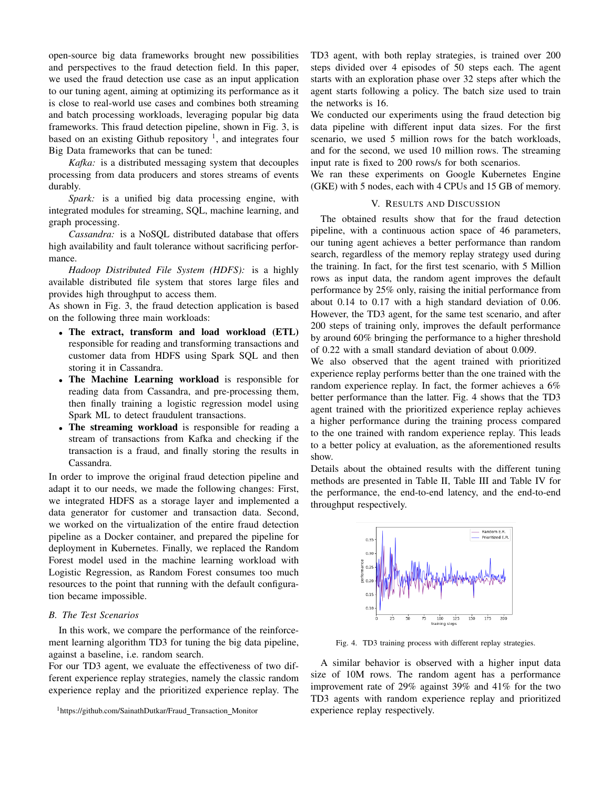open-source big data frameworks brought new possibilities and perspectives to the fraud detection field. In this paper, we used the fraud detection use case as an input application to our tuning agent, aiming at optimizing its performance as it is close to real-world use cases and combines both streaming and batch processing workloads, leveraging popular big data frameworks. This fraud detection pipeline, shown in Fig. 3, is based on an existing Github repository  $\frac{1}{1}$ , and integrates four Big Data frameworks that can be tuned:

*Kafka:* is a distributed messaging system that decouples processing from data producers and stores streams of events durably.

*Spark:* is a unified big data processing engine, with integrated modules for streaming, SQL, machine learning, and graph processing.

*Cassandra:* is a NoSQL distributed database that offers high availability and fault tolerance without sacrificing performance.

*Hadoop Distributed File System (HDFS):* is a highly available distributed file system that stores large files and provides high throughput to access them.

As shown in Fig. 3, the fraud detection application is based on the following three main workloads:

- The extract, transform and load workload (ETL) responsible for reading and transforming transactions and customer data from HDFS using Spark SQL and then storing it in Cassandra.
- The Machine Learning workload is responsible for reading data from Cassandra, and pre-processing them, then finally training a logistic regression model using Spark ML to detect fraudulent transactions.
- The streaming workload is responsible for reading a stream of transactions from Kafka and checking if the transaction is a fraud, and finally storing the results in Cassandra.

In order to improve the original fraud detection pipeline and adapt it to our needs, we made the following changes: First, we integrated HDFS as a storage layer and implemented a data generator for customer and transaction data. Second, we worked on the virtualization of the entire fraud detection pipeline as a Docker container, and prepared the pipeline for deployment in Kubernetes. Finally, we replaced the Random Forest model used in the machine learning workload with Logistic Regression, as Random Forest consumes too much resources to the point that running with the default configuration became impossible.

# *B. The Test Scenarios*

In this work, we compare the performance of the reinforcement learning algorithm TD3 for tuning the big data pipeline, against a baseline, i.e. random search.

For our TD3 agent, we evaluate the effectiveness of two different experience replay strategies, namely the classic random experience replay and the prioritized experience replay. The TD3 agent, with both replay strategies, is trained over 200 steps divided over 4 episodes of 50 steps each. The agent starts with an exploration phase over 32 steps after which the agent starts following a policy. The batch size used to train the networks is 16.

We conducted our experiments using the fraud detection big data pipeline with different input data sizes. For the first scenario, we used 5 million rows for the batch workloads, and for the second, we used 10 million rows. The streaming input rate is fixed to 200 rows/s for both scenarios.

We ran these experiments on Google Kubernetes Engine (GKE) with 5 nodes, each with 4 CPUs and 15 GB of memory.

# V. RESULTS AND DISCUSSION

The obtained results show that for the fraud detection pipeline, with a continuous action space of 46 parameters, our tuning agent achieves a better performance than random search, regardless of the memory replay strategy used during the training. In fact, for the first test scenario, with 5 Million rows as input data, the random agent improves the default performance by 25% only, raising the initial performance from about 0.14 to 0.17 with a high standard deviation of 0.06. However, the TD3 agent, for the same test scenario, and after 200 steps of training only, improves the default performance by around 60% bringing the performance to a higher threshold of 0.22 with a small standard deviation of about 0.009.

We also observed that the agent trained with prioritized experience replay performs better than the one trained with the random experience replay. In fact, the former achieves a 6% better performance than the latter. Fig. 4 shows that the TD3 agent trained with the prioritized experience replay achieves a higher performance during the training process compared to the one trained with random experience replay. This leads to a better policy at evaluation, as the aforementioned results show.

Details about the obtained results with the different tuning methods are presented in Table II, Table III and Table IV for the performance, the end-to-end latency, and the end-to-end throughput respectively.



Fig. 4. TD3 training process with different replay strategies.

A similar behavior is observed with a higher input data size of 10M rows. The random agent has a performance improvement rate of 29% against 39% and 41% for the two TD3 agents with random experience replay and prioritized experience replay respectively.

<sup>1</sup>https://github.com/SainathDutkar/Fraud Transaction Monitor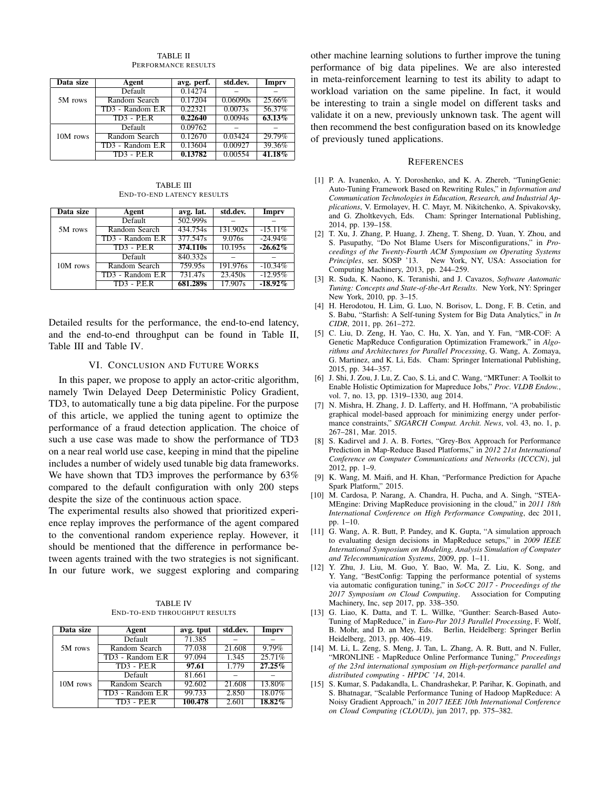| Data size | Agent            | avg. perf. | std.dev. | Impry     |
|-----------|------------------|------------|----------|-----------|
|           | Default          | 0.14274    |          |           |
| 5M rows   | Random Search    | 0.17204    | 0.06090s | 25.66%    |
|           | TD3 - Random E.R | 0.22321    | 0.0073s  | 56.37%    |
|           | $TD3 - P.E.R$    | 0.22640    | 0.0094s  | 63.13%    |
|           | Default          | 0.09762    |          |           |
| 10M rows  | Random Search    | 0.12670    | 0.03424  | 29.79%    |
|           | TD3 - Random E.R | 0.13604    | 0.00927  | 39.36%    |
|           | $TD3 - P.E.R$    | 0.13782    | 0.00554  | $41.18\%$ |

TABLE II PERFORMANCE RESULTS

TABLE III END-TO-END LATENCY RESULTS

| Data size | Agent            | avg. lat. | std.dev. | Imprv      |
|-----------|------------------|-----------|----------|------------|
| 5M rows   | Default          | 502.999s  |          |            |
|           | Random Search    | 434.754s  | 131.902s | $-15.11\%$ |
|           | TD3 - Random E.R | 377.547s  | 9.076s   | $-24.94\%$ |
|           | $TD3 - P.E.R$    | 374.110s  | 10.195s  | $-26.62\%$ |
|           | Default          | 840.332s  |          |            |
| 10M rows  | Random Search    | 759.95s   | 191.976s | $-10.34\%$ |
|           | TD3 - Random E.R | 731.47s   | 23.450s  | $-12.95%$  |
|           | $TD3 - P.E.R$    | 681.289s  | 17.907s  | $-18.92\%$ |

Detailed results for the performance, the end-to-end latency, and the end-to-end throughput can be found in Table II, Table III and Table IV.

#### VI. CONCLUSION AND FUTURE WORKS

In this paper, we propose to apply an actor-critic algorithm, namely Twin Delayed Deep Deterministic Policy Gradient, TD3, to automatically tune a big data pipeline. For the purpose of this article, we applied the tuning agent to optimize the performance of a fraud detection application. The choice of such a use case was made to show the performance of TD3 on a near real world use case, keeping in mind that the pipeline includes a number of widely used tunable big data frameworks. We have shown that TD3 improves the performance by 63% compared to the default configuration with only 200 steps despite the size of the continuous action space.

The experimental results also showed that prioritized experience replay improves the performance of the agent compared to the conventional random experience replay. However, it should be mentioned that the difference in performance between agents trained with the two strategies is not significant. In our future work, we suggest exploring and comparing

TABLE IV END-TO-END THROUGHPUT RESULTS

| Data size | Agent            | avg. tput | std.dev. | Impry     |
|-----------|------------------|-----------|----------|-----------|
| 5M rows   | Default          | 71.385    |          |           |
|           | Random Search    | 77.038    | 21.608   | 9.79%     |
|           | TD3 - Random E.R | 97.094    | 1.345    | 25.71%    |
|           | $TD3 - P.E.R$    | 97.61     | 1.779    | $27.25\%$ |
| 10M rows  | Default          | 81.661    |          |           |
|           | Random Search    | 92.602    | 21.608   | 13.80%    |
|           | TD3 - Random E.R | 99.733    | 2.850    | 18.07%    |
|           | $TD3 - P.E.R$    | 100.478   | 2.601    | $18.82\%$ |

other machine learning solutions to further improve the tuning performance of big data pipelines. We are also interested in meta-reinforcement learning to test its ability to adapt to workload variation on the same pipeline. In fact, it would be interesting to train a single model on different tasks and validate it on a new, previously unknown task. The agent will then recommend the best configuration based on its knowledge of previously tuned applications.

#### **REFERENCES**

- [1] P. A. Ivanenko, A. Y. Doroshenko, and K. A. Zhereb, "TuningGenie: Auto-Tuning Framework Based on Rewriting Rules," in *Information and Communication Technologies in Education, Research, and Industrial Applications*, V. Ermolayev, H. C. Mayr, M. Nikitchenko, A. Spivakovsky, and G. Zholtkevych, Eds. Cham: Springer International Publishing, 2014, pp. 139–158.
- [2] T. Xu, J. Zhang, P. Huang, J. Zheng, T. Sheng, D. Yuan, Y. Zhou, and S. Pasupathy, "Do Not Blame Users for Misconfigurations," in *Proceedings of the Twenty-Fourth ACM Symposium on Operating Systems Principles*, ser. SOSP '13. New York, NY, USA: Association for Computing Machinery, 2013, pp. 244–259.
- [3] R. Suda, K. Naono, K. Teranishi, and J. Cavazos, *Software Automatic Tuning: Concepts and State-of-the-Art Results*. New York, NY: Springer New York, 2010, pp. 3–15.
- [4] H. Herodotou, H. Lim, G. Luo, N. Borisov, L. Dong, F. B. Cetin, and S. Babu, "Starfish: A Self-tuning System for Big Data Analytics," in *In CIDR*, 2011, pp. 261–272.
- [5] C. Liu, D. Zeng, H. Yao, C. Hu, X. Yan, and Y. Fan, "MR-COF: A Genetic MapReduce Configuration Optimization Framework," in *Algorithms and Architectures for Parallel Processing*, G. Wang, A. Zomaya, G. Martinez, and K. Li, Eds. Cham: Springer International Publishing, 2015, pp. 344–357.
- [6] J. Shi, J. Zou, J. Lu, Z. Cao, S. Li, and C. Wang, "MRTuner: A Toolkit to Enable Holistic Optimization for Mapreduce Jobs," *Proc. VLDB Endow.*, vol. 7, no. 13, pp. 1319–1330, aug 2014.
- [7] N. Mishra, H. Zhang, J. D. Lafferty, and H. Hoffmann, "A probabilistic graphical model-based approach for minimizing energy under performance constraints," *SIGARCH Comput. Archit. News*, vol. 43, no. 1, p. 267–281, Mar. 2015.
- [8] S. Kadirvel and J. A. B. Fortes, "Grey-Box Approach for Performance Prediction in Map-Reduce Based Platforms," in *2012 21st International Conference on Computer Communications and Networks (ICCCN)*, jul 2012, pp. 1–9.
- [9] K. Wang, M. Maifi, and H. Khan, "Performance Prediction for Apache Spark Platform," 2015.
- [10] M. Cardosa, P. Narang, A. Chandra, H. Pucha, and A. Singh, "STEA-MEngine: Driving MapReduce provisioning in the cloud," in *2011 18th International Conference on High Performance Computing*, dec 2011, pp. 1–10.
- [11] G. Wang, A. R. Butt, P. Pandey, and K. Gupta, "A simulation approach to evaluating design decisions in MapReduce setups," in *2009 IEEE International Symposium on Modeling, Analysis Simulation of Computer and Telecommunication Systems*, 2009, pp. 1–11.
- [12] Y. Zhu, J. Liu, M. Guo, Y. Bao, W. Ma, Z. Liu, K. Song, and Y. Yang, "BestConfig: Tapping the performance potential of systems via automatic configuration tuning," in *SoCC 2017 - Proceedings of the 2017 Symposium on Cloud Computing*. Association for Computing Machinery, Inc, sep 2017, pp. 338–350.
- [13] G. Liao, K. Datta, and T. L. Willke, "Gunther: Search-Based Auto-Tuning of MapReduce," in *Euro-Par 2013 Parallel Processing*, F. Wolf, B. Mohr, and D. an Mey, Eds. Berlin, Heidelberg: Springer Berlin Heidelberg, 2013, pp. 406–419.
- [14] M. Li, L. Zeng, S. Meng, J. Tan, L. Zhang, A. R. Butt, and N. Fuller, "MRONLINE - MapReduce Online Performance Tuning," *Proceedings of the 23rd international symposium on High-performance parallel and distributed computing - HPDC '14*, 2014.
- [15] S. Kumar, S. Padakandla, L. Chandrashekar, P. Parihar, K. Gopinath, and S. Bhatnagar, "Scalable Performance Tuning of Hadoop MapReduce: A Noisy Gradient Approach," in *2017 IEEE 10th International Conference on Cloud Computing (CLOUD)*, jun 2017, pp. 375–382.